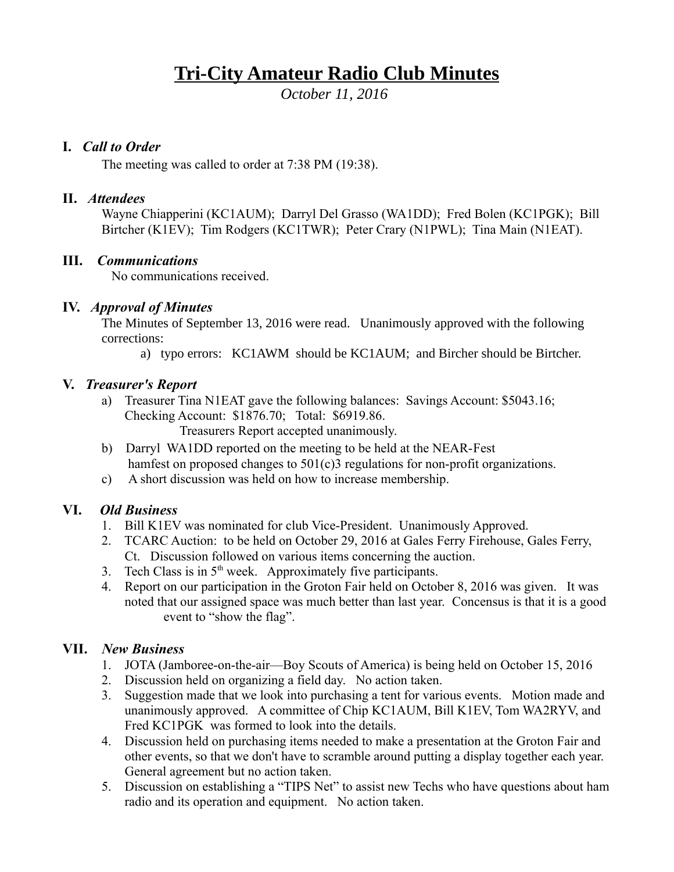# **Tri-City Amateur Radio Club Minutes**

*October 11, 2016* 

#### **I.** *Call to Order*

The meeting was called to order at 7:38 PM (19:38).

## **II.** *Attendees*

Wayne Chiapperini (KC1AUM); Darryl Del Grasso (WA1DD); Fred Bolen (KC1PGK); Bill Birtcher (K1EV); Tim Rodgers (KC1TWR); Peter Crary (N1PWL); Tina Main (N1EAT).

#### **III.** *Communications*

No communications received.

#### **IV.** *Approval of Minutes*

The Minutes of September 13, 2016 were read. Unanimously approved with the following corrections:

a) typo errors: KC1AWM should be KC1AUM; and Bircher should be Birtcher.

#### **V.** *Treasurer's Report*

a) Treasurer Tina N1EAT gave the following balances: Savings Account: \$5043.16; Checking Account: \$1876.70; Total: \$6919.86.

Treasurers Report accepted unanimously.

- b) Darryl WA1DD reported on the meeting to be held at the NEAR-Fest hamfest on proposed changes to 501(c)3 regulations for non-profit organizations.
- c) A short discussion was held on how to increase membership.

## **VI.** *Old Business*

- 1. Bill K1EV was nominated for club Vice-President. Unanimously Approved.
- 2. TCARC Auction: to be held on October 29, 2016 at Gales Ferry Firehouse, Gales Ferry, Ct. Discussion followed on various items concerning the auction.
- 3. Tech Class is in  $5<sup>th</sup>$  week. Approximately five participants.
- 4. Report on our participation in the Groton Fair held on October 8, 2016 was given. It was noted that our assigned space was much better than last year. Concensus is that it is a good event to "show the flag".

## **VII.** *New Business*

- 1. JOTA (Jamboree-on-the-air—Boy Scouts of America) is being held on October 15, 2016
- 2. Discussion held on organizing a field day. No action taken.
- 3. Suggestion made that we look into purchasing a tent for various events. Motion made and unanimously approved. A committee of Chip KC1AUM, Bill K1EV, Tom WA2RYV, and Fred KC1PGK was formed to look into the details.
- 4. Discussion held on purchasing items needed to make a presentation at the Groton Fair and other events, so that we don't have to scramble around putting a display together each year. General agreement but no action taken.
- 5. Discussion on establishing a "TIPS Net" to assist new Techs who have questions about ham radio and its operation and equipment. No action taken.